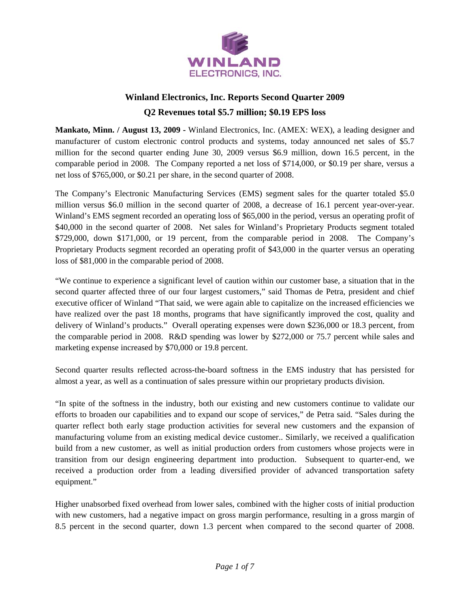

# **Winland Electronics, Inc. Reports Second Quarter 2009 Q2 Revenues total \$5.7 million; \$0.19 EPS loss**

**Mankato, Minn. / August 13, 2009 -** Winland Electronics, Inc. (AMEX: WEX), a leading designer and manufacturer of custom electronic control products and systems, today announced net sales of \$5.7 million for the second quarter ending June 30, 2009 versus \$6.9 million, down 16.5 percent, in the comparable period in 2008. The Company reported a net loss of \$714,000, or \$0.19 per share, versus a net loss of \$765,000, or \$0.21 per share, in the second quarter of 2008.

The Company's Electronic Manufacturing Services (EMS) segment sales for the quarter totaled \$5.0 million versus \$6.0 million in the second quarter of 2008, a decrease of 16.1 percent year-over-year. Winland's EMS segment recorded an operating loss of \$65,000 in the period, versus an operating profit of \$40,000 in the second quarter of 2008. Net sales for Winland's Proprietary Products segment totaled \$729,000, down \$171,000, or 19 percent, from the comparable period in 2008. The Company's Proprietary Products segment recorded an operating profit of \$43,000 in the quarter versus an operating loss of \$81,000 in the comparable period of 2008.

"We continue to experience a significant level of caution within our customer base, a situation that in the second quarter affected three of our four largest customers," said Thomas de Petra, president and chief executive officer of Winland "That said, we were again able to capitalize on the increased efficiencies we have realized over the past 18 months, programs that have significantly improved the cost, quality and delivery of Winland's products." Overall operating expenses were down \$236,000 or 18.3 percent, from the comparable period in 2008. R&D spending was lower by \$272,000 or 75.7 percent while sales and marketing expense increased by \$70,000 or 19.8 percent.

Second quarter results reflected across-the-board softness in the EMS industry that has persisted for almost a year, as well as a continuation of sales pressure within our proprietary products division.

"In spite of the softness in the industry, both our existing and new customers continue to validate our efforts to broaden our capabilities and to expand our scope of services," de Petra said. "Sales during the quarter reflect both early stage production activities for several new customers and the expansion of manufacturing volume from an existing medical device customer.. Similarly, we received a qualification build from a new customer, as well as initial production orders from customers whose projects were in transition from our design engineering department into production. Subsequent to quarter-end, we received a production order from a leading diversified provider of advanced transportation safety equipment."

Higher unabsorbed fixed overhead from lower sales, combined with the higher costs of initial production with new customers, had a negative impact on gross margin performance, resulting in a gross margin of 8.5 percent in the second quarter, down 1.3 percent when compared to the second quarter of 2008.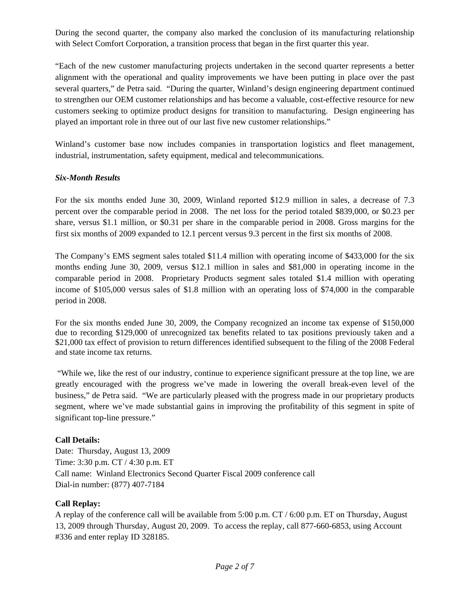During the second quarter, the company also marked the conclusion of its manufacturing relationship with Select Comfort Corporation, a transition process that began in the first quarter this year.

"Each of the new customer manufacturing projects undertaken in the second quarter represents a better alignment with the operational and quality improvements we have been putting in place over the past several quarters," de Petra said. "During the quarter, Winland's design engineering department continued to strengthen our OEM customer relationships and has become a valuable, cost-effective resource for new customers seeking to optimize product designs for transition to manufacturing. Design engineering has played an important role in three out of our last five new customer relationships."

Winland's customer base now includes companies in transportation logistics and fleet management, industrial, instrumentation, safety equipment, medical and telecommunications.

# *Six-Month Results*

For the six months ended June 30, 2009, Winland reported \$12.9 million in sales, a decrease of 7.3 percent over the comparable period in 2008. The net loss for the period totaled \$839,000, or \$0.23 per share, versus \$1.1 million, or \$0.31 per share in the comparable period in 2008. Gross margins for the first six months of 2009 expanded to 12.1 percent versus 9.3 percent in the first six months of 2008.

The Company's EMS segment sales totaled \$11.4 million with operating income of \$433,000 for the six months ending June 30, 2009, versus \$12.1 million in sales and \$81,000 in operating income in the comparable period in 2008. Proprietary Products segment sales totaled \$1.4 million with operating income of \$105,000 versus sales of \$1.8 million with an operating loss of \$74,000 in the comparable period in 2008.

For the six months ended June 30, 2009, the Company recognized an income tax expense of \$150,000 due to recording \$129,000 of unrecognized tax benefits related to tax positions previously taken and a \$21,000 tax effect of provision to return differences identified subsequent to the filing of the 2008 Federal and state income tax returns.

 "While we, like the rest of our industry, continue to experience significant pressure at the top line, we are greatly encouraged with the progress we've made in lowering the overall break-even level of the business," de Petra said. "We are particularly pleased with the progress made in our proprietary products segment, where we've made substantial gains in improving the profitability of this segment in spite of significant top-line pressure."

# **Call Details:**

Date: Thursday, August 13, 2009 Time: 3:30 p.m. CT / 4:30 p.m. ET Call name: Winland Electronics Second Quarter Fiscal 2009 conference call Dial-in number: (877) 407-7184

### **Call Replay:**

A replay of the conference call will be available from 5:00 p.m. CT / 6:00 p.m. ET on Thursday, August 13, 2009 through Thursday, August 20, 2009. To access the replay, call 877-660-6853, using Account #336 and enter replay ID 328185.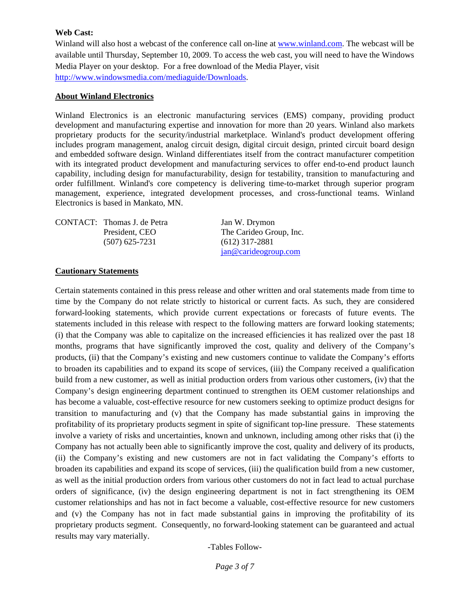#### **Web Cast:**

Winland will also host a webcast of the conference call on-line at www.winland.com. The webcast will be available until Thursday, September 10, 2009. To access the web cast, you will need to have the Windows Media Player on your desktop. For a free download of the Media Player, visit http://www.windowsmedia.com/mediaguide/Downloads.

#### **About Winland Electronics**

Winland Electronics is an electronic manufacturing services (EMS) company, providing product development and manufacturing expertise and innovation for more than 20 years. Winland also markets proprietary products for the security/industrial marketplace. Winland's product development offering includes program management, analog circuit design, digital circuit design, printed circuit board design and embedded software design. Winland differentiates itself from the contract manufacturer competition with its integrated product development and manufacturing services to offer end-to-end product launch capability, including design for manufacturability, design for testability, transition to manufacturing and order fulfillment. Winland's core competency is delivering time-to-market through superior program management, experience, integrated development processes, and cross-functional teams. Winland Electronics is based in Mankato, MN.

| CONTACT: Thomas J. de Petra | Jan W. Drymon           |
|-----------------------------|-------------------------|
| President, CEO              | The Carideo Group, Inc. |
| $(507)$ 625-7231            | $(612)$ 317-2881        |
|                             | jan@cardeogroup.com     |

#### **Cautionary Statements**

Certain statements contained in this press release and other written and oral statements made from time to time by the Company do not relate strictly to historical or current facts. As such, they are considered forward-looking statements, which provide current expectations or forecasts of future events. The statements included in this release with respect to the following matters are forward looking statements; (i) that the Company was able to capitalize on the increased efficiencies it has realized over the past 18 months, programs that have significantly improved the cost, quality and delivery of the Company's products, (ii) that the Company's existing and new customers continue to validate the Company's efforts to broaden its capabilities and to expand its scope of services, (iii) the Company received a qualification build from a new customer, as well as initial production orders from various other customers, (iv) that the Company's design engineering department continued to strengthen its OEM customer relationships and has become a valuable, cost-effective resource for new customers seeking to optimize product designs for transition to manufacturing and (v) that the Company has made substantial gains in improving the profitability of its proprietary products segment in spite of significant top-line pressure. These statements involve a variety of risks and uncertainties, known and unknown, including among other risks that (i) the Company has not actually been able to significantly improve the cost, quality and delivery of its products, (ii) the Company's existing and new customers are not in fact validating the Company's efforts to broaden its capabilities and expand its scope of services, (iii) the qualification build from a new customer, as well as the initial production orders from various other customers do not in fact lead to actual purchase orders of significance, (iv) the design engineering department is not in fact strengthening its OEM customer relationships and has not in fact become a valuable, cost-effective resource for new customers and (v) the Company has not in fact made substantial gains in improving the profitability of its proprietary products segment. Consequently, no forward-looking statement can be guaranteed and actual results may vary materially.

-Tables Follow-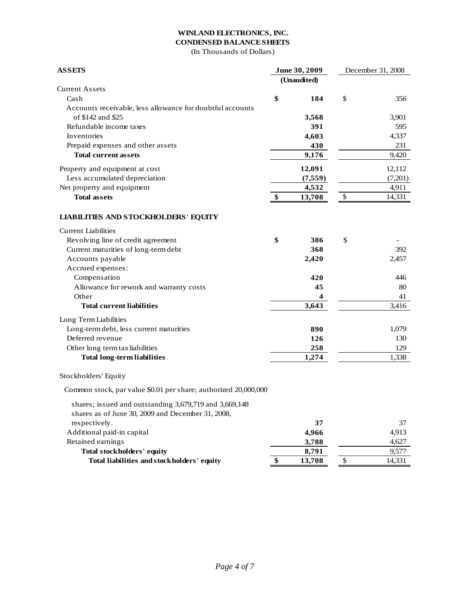#### **WINLAND ELECTRONICS, INC. CONDENSED BALANCE SHEETS**

(In Thousands of Dollars)

| <b>ASSETS</b>                                                   |    | June 30, 2009 | December 31, 2008 |         |
|-----------------------------------------------------------------|----|---------------|-------------------|---------|
|                                                                 |    | (Unaudited)   |                   |         |
| <b>Current Assets</b>                                           |    |               |                   |         |
| Cash                                                            | \$ | 184           | \$                | 356     |
| Accounts receivable, less allowance for doubtful accounts       |    |               |                   |         |
| of \$142 and \$25                                               |    | 3,568         |                   | 3,901   |
| Refundable income taxes                                         |    | 391           |                   | 595     |
| Inventories                                                     |    | 4,603         |                   | 4,337   |
| Prepaid expenses and other assets                               |    | 430           |                   | 231     |
| <b>Total current assets</b>                                     |    | 9,176         |                   | 9,420   |
| Property and equipment at cost                                  |    | 12,091        |                   | 12,112  |
| Less accumulated depreciation                                   |    | (7, 559)      |                   | (7,201) |
| Net property and equipment                                      |    | 4,532         |                   | 4,911   |
| <b>Total assets</b>                                             |    | 13,708        | \$                | 14,331  |
| <b>LIABILITIES AND STOCKHOLDERS' EQUITY</b>                     |    |               |                   |         |
| <b>Current Liabilities</b>                                      |    |               |                   |         |
| Revolving line of credit agreement                              | \$ | 386           | \$                |         |
| Current maturities of long-term debt                            |    | 368           |                   | 392     |
| Accounts payable                                                |    | 2,420         |                   | 2,457   |
| Accrued expenses:                                               |    |               |                   |         |
| Compensation                                                    |    | 420           |                   | 446     |
| Allowance for rework and warranty costs                         |    | 45            |                   | 80      |
| Other                                                           |    | 4             |                   | 41      |
| <b>Total current liabilities</b>                                |    | 3,643         |                   | 3,416   |
| Long Term Liabilities                                           |    |               |                   |         |
| Long-term debt, less current maturities                         |    | 890           |                   | 1,079   |
| Deferred revenue                                                |    | 126           |                   | 130     |
| Other long term tax liabilities                                 |    | 258           |                   | 129     |
| <b>Total long-term liabilities</b>                              |    | 1,274         |                   | 1,338   |
| Stockholders' Equity                                            |    |               |                   |         |
| Common stock, par value \$0.01 per share; authorized 20,000,000 |    |               |                   |         |
| shares; issued and outstanding 3,679,719 and 3,669,148          |    |               |                   |         |
| shares as of June 30, 2009 and December 31, 2008,               |    |               |                   |         |
| respectively.                                                   |    | 37            |                   | 37      |
| Additional paid-in capital                                      |    | 4,966         |                   | 4,913   |
| Retained earnings                                               |    | 3,788         |                   | 4,627   |
| <b>Total stockholders' equity</b>                               |    | 8,791         |                   | 9,577   |
| Total liabilities and stockholders' equity                      | \$ | 13,708        | \$                | 14,331  |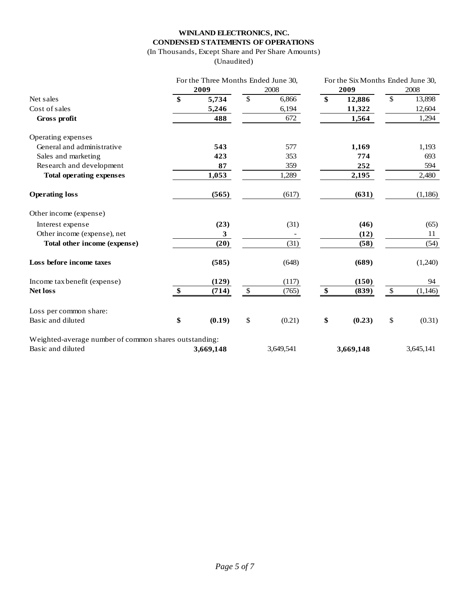# **WINLAND ELECTRONICS, INC. CONDENSED STATEMENTS OF OPERATIONS**

(In Thousands, Except Share and Per Share Amounts)

(Unaudited)

|                                                       | For the Three Months Ended June 30, |           | For the Six Months Ended June 30, |           |                   |           |               |           |
|-------------------------------------------------------|-------------------------------------|-----------|-----------------------------------|-----------|-------------------|-----------|---------------|-----------|
|                                                       | 2009                                |           | 2008                              |           | 2009              |           | 2008          |           |
| Net sales                                             | \$                                  | 5,734     | $\mathcal{S}$                     | 6,866     | $\mathbf{\$}$     | 12,886    | $\mathcal{S}$ | 13,898    |
| Cost of sales                                         |                                     | 5,246     |                                   | 6,194     |                   | 11,322    |               | 12,604    |
| Gross profit                                          |                                     | 488       |                                   | 672       |                   | 1,564     |               | 1,294     |
| Operating expenses                                    |                                     |           |                                   |           |                   |           |               |           |
| General and administrative                            |                                     | 543       |                                   | 577       |                   | 1,169     |               | 1,193     |
| Sales and marketing                                   |                                     | 423       |                                   | 353       |                   | 774       |               | 693       |
| Research and development                              |                                     | 87        |                                   | 359       |                   | 252       |               | 594       |
| <b>Total operating expenses</b>                       |                                     | 1,053     |                                   | 1,289     |                   | 2,195     |               | 2,480     |
| <b>Operating loss</b>                                 |                                     | (565)     |                                   | (617)     |                   | (631)     |               | (1,186)   |
| Other income (expense)                                |                                     |           |                                   |           |                   |           |               |           |
| Interest expense                                      |                                     | (23)      |                                   | (31)      |                   | (46)      |               | (65)      |
| Other income (expense), net                           |                                     | 3         |                                   |           |                   | (12)      |               | 11        |
| Total other income (expense)                          |                                     | (20)      |                                   | (31)      |                   | (58)      |               | (54)      |
| Loss before income taxes                              |                                     | (585)     |                                   | (648)     |                   | (689)     |               | (1,240)   |
| Income tax benefit (expense)                          |                                     | (129)     |                                   | (117)     |                   | (150)     |               | 94        |
| <b>Net loss</b>                                       | \$                                  | (714)     | $\$$                              | (765)     | $\boldsymbol{\$}$ | (839)     | $\mathbb{S}$  | (1, 146)  |
| Loss per common share:                                |                                     |           |                                   |           |                   |           |               |           |
| Basic and diluted                                     | \$                                  | (0.19)    | \$                                | (0.21)    | \$                | (0.23)    | \$            | (0.31)    |
| Weighted-average number of common shares outstanding: |                                     |           |                                   |           |                   |           |               |           |
| Basic and diluted                                     |                                     | 3,669,148 |                                   | 3,649,541 |                   | 3,669,148 |               | 3,645,141 |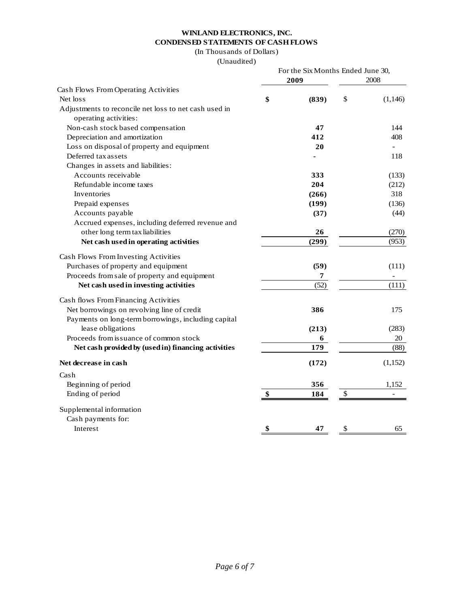# **WINLAND ELECTRONICS, INC. CONDENSED STATEMENTS OF CASH FLOWS**

(In Thousands of Dollars)

(Unaudited)

|                                                       |    | For the Six Months Ended June 30,<br>2008 |    |          |
|-------------------------------------------------------|----|-------------------------------------------|----|----------|
| Cash Flows From Operating Activities                  |    |                                           |    |          |
| Net loss                                              | \$ | (839)                                     | \$ | (1, 146) |
| Adjustments to reconcile net loss to net cash used in |    |                                           |    |          |
| operating activities:                                 |    |                                           |    |          |
| Non-cash stock based compensation                     |    | 47                                        |    | 144      |
| Depreciation and amortization                         |    | 412                                       |    | 408      |
| Loss on disposal of property and equipment            |    | 20                                        |    |          |
| Deferred tax assets                                   |    |                                           |    | 118      |
| Changes in assets and liabilities:                    |    |                                           |    |          |
| Accounts receivable                                   |    | 333                                       |    | (133)    |
| Refundable income taxes                               |    | 204                                       |    | (212)    |
| Inventories                                           |    | (266)                                     |    | 318      |
| Prepaid expenses                                      |    | (199)                                     |    | (136)    |
| Accounts payable                                      |    | (37)                                      |    | (44)     |
| Accrued expenses, including deferred revenue and      |    |                                           |    |          |
| other long term tax liabilities                       |    | 26                                        |    | (270)    |
| Net cash used in operating activities                 |    | (299)                                     |    | (953)    |
| Cash Flows From Investing Activities                  |    |                                           |    |          |
| Purchases of property and equipment                   |    | (59)                                      |    | (111)    |
| Proceeds from sale of property and equipment          |    | 7                                         |    |          |
| Net cash used in investing activities                 |    | (52)                                      |    | (111)    |
| Cash flows From Financing Activities                  |    |                                           |    |          |
| Net borrowings on revolving line of credit            |    | 386                                       |    | 175      |
| Payments on long-term borrowings, including capital   |    |                                           |    |          |
| lease obligations                                     |    | (213)                                     |    | (283)    |
| Proceeds from issuance of common stock                |    | 6                                         |    | 20       |
| Net cash provided by (used in) financing activities   |    | 179                                       |    | (88)     |
| Net decrease in cash                                  |    | (172)                                     |    | (1, 152) |
| Cash                                                  |    |                                           |    |          |
| Beginning of period                                   |    | 356                                       |    | 1,152    |
| Ending of period                                      | \$ | 184                                       | \$ |          |
| Supplemental information                              |    |                                           |    |          |
| Cash payments for:                                    |    |                                           |    |          |
| Interest                                              | \$ | 47                                        | \$ | 65       |